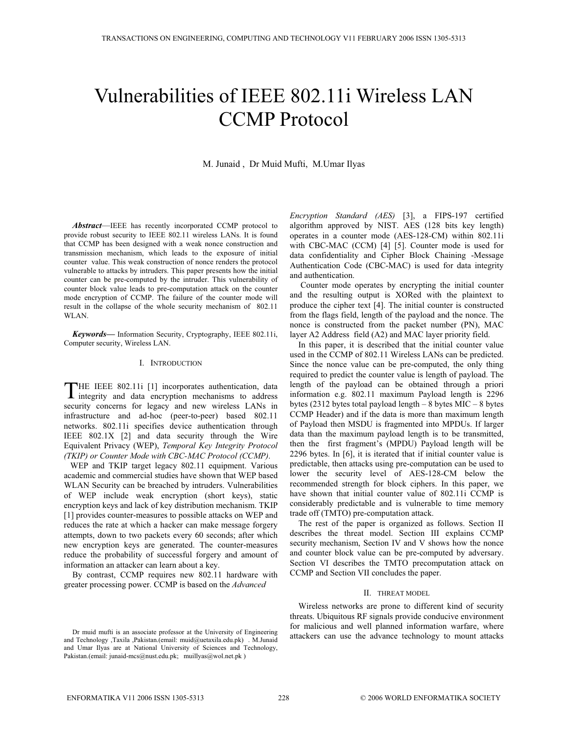# Vulnerabilities of IEEE 802.11i Wireless LAN CCMP Protocol

M. Junaid , Dr Muid Mufti, M.Umar Ilyas

*Abstract*—IEEE has recently incorporated CCMP protocol to provide robust security to IEEE 802.11 wireless LANs. It is found that CCMP has been designed with a weak nonce construction and transmission mechanism, which leads to the exposure of initial counter value. This weak construction of nonce renders the protocol vulnerable to attacks by intruders. This paper presents how the initial counter can be pre-computed by the intruder. This vulnerability of counter block value leads to pre-computation attack on the counter mode encryption of CCMP. The failure of the counter mode will result in the collapse of the whole security mechanism of 802.11 WLAN.

*Keywords—* Information Security, Cryptography, IEEE 802.11i, Computer security, Wireless LAN.

## I. INTRODUCTION

HE IEEE 802.11i [1] incorporates authentication, data THE IEEE 802.11i [1] incorporates authentication, data<br>integrity and data encryption mechanisms to address security concerns for legacy and new wireless LANs in infrastructure and ad-hoc (peer-to-peer) based 802.11 networks. 802.11i specifies device authentication through IEEE 802.1X [2] and data security through the Wire Equivalent Privacy (WEP), *Temporal Key Integrity Protocol (TKIP) or Counter Mode with CBC-MAC Protocol (CCMP)*.

 WEP and TKIP target legacy 802.11 equipment. Various academic and commercial studies have shown that WEP based WLAN Security can be breached by intruders. Vulnerabilities of WEP include weak encryption (short keys), static encryption keys and lack of key distribution mechanism. TKIP [1] provides counter-measures to possible attacks on WEP and reduces the rate at which a hacker can make message forgery attempts, down to two packets every 60 seconds; after which new encryption keys are generated. The counter-measures reduce the probability of successful forgery and amount of information an attacker can learn about a key.

By contrast, CCMP requires new 802.11 hardware with greater processing power. CCMP is based on the *Advanced* 

*Encryption Standard (AES)* [3], a FIPS-197 certified algorithm approved by NIST. AES (128 bits key length) operates in a counter mode (AES-128-CM) within 802.11i with CBC-MAC (CCM) [4] [5]. Counter mode is used for data confidentiality and Cipher Block Chaining -Message Authentication Code (CBC-MAC) is used for data integrity and authentication.

 Counter mode operates by encrypting the initial counter and the resulting output is XORed with the plaintext to produce the cipher text [4]. The initial counter is constructed from the flags field, length of the payload and the nonce. The nonce is constructed from the packet number (PN), MAC layer A2 Address field (A2) and MAC layer priority field.

In this paper, it is described that the initial counter value used in the CCMP of 802.11 Wireless LANs can be predicted. Since the nonce value can be pre-computed, the only thing required to predict the counter value is length of payload. The length of the payload can be obtained through a priori information e.g. 802.11 maximum Payload length is 2296 bytes (2312 bytes total payload length – 8 bytes MIC – 8 bytes CCMP Header) and if the data is more than maximum length of Payload then MSDU is fragmented into MPDUs. If larger data than the maximum payload length is to be transmitted, then the first fragment's (MPDU) Payload length will be 2296 bytes. In [6], it is iterated that if initial counter value is predictable, then attacks using pre-computation can be used to lower the security level of AES-128-CM below the recommended strength for block ciphers. In this paper, we have shown that initial counter value of 802.11i CCMP is considerably predictable and is vulnerable to time memory trade off (TMTO) pre-computation attack.

The rest of the paper is organized as follows. Section II describes the threat model. Section III explains CCMP security mechanism, Section IV and V shows how the nonce and counter block value can be pre-computed by adversary. Section VI describes the TMTO precomputation attack on CCMP and Section VII concludes the paper.

#### II. THREAT MODEL

Wireless networks are prone to different kind of security threats. Ubiquitous RF signals provide conducive environment for malicious and well planned information warfare, where attackers can use the advance technology to mount attacks

Dr muid mufti is an associate professor at the University of Engineering and Technology ,Taxila ,Pakistan.(email: muid@uetaxila.edu.pk) . M.Junaid and Umar Ilyas are at National University of Sciences and Technology, Pakistan.(email: junaid-mcs@nust.edu.pk; muillyas@wol.net.pk )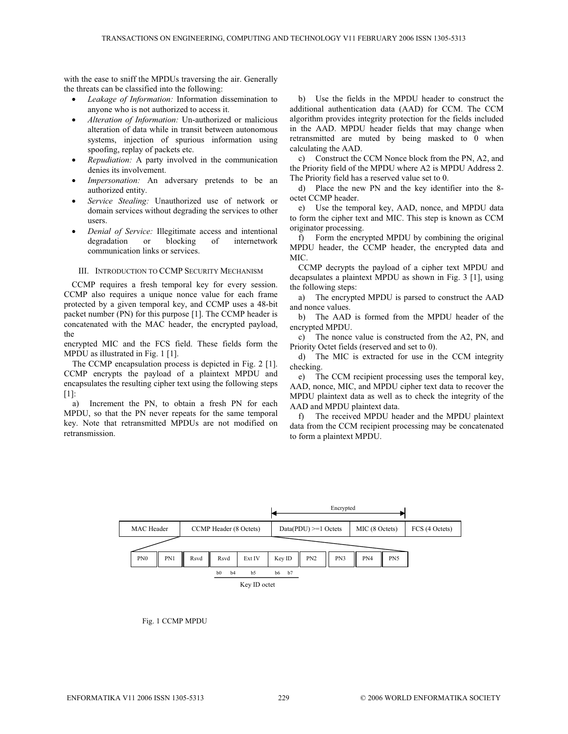with the ease to sniff the MPDUs traversing the air. Generally the threats can be classified into the following:

- *Leakage of Information:* Information dissemination to anyone who is not authorized to access it.
- x *Alteration of Information:* Un-authorized or malicious alteration of data while in transit between autonomous systems, injection of spurious information using spoofing, replay of packets etc.
- *Repudiation:* A party involved in the communication denies its involvement.
- *Impersonation:* An adversary pretends to be an authorized entity.
- x *Service Stealing:* Unauthorized use of network or domain services without degrading the services to other users.
- *Denial of Service:* Illegitimate access and intentional degradation or blocking of internetwork communication links or services.

#### III. INTRODUCTION TO CCMP SECURITY MECHANISM

CCMP requires a fresh temporal key for every session. CCMP also requires a unique nonce value for each frame protected by a given temporal key, and CCMP uses a 48-bit packet number (PN) for this purpose [1]. The CCMP header is concatenated with the MAC header, the encrypted payload, the

encrypted MIC and the FCS field. These fields form the MPDU as illustrated in Fig. 1 [1].

The CCMP encapsulation process is depicted in Fig. 2 [1]. CCMP encrypts the payload of a plaintext MPDU and encapsulates the resulting cipher text using the following steps [1]:

a) Increment the PN, to obtain a fresh PN for each MPDU, so that the PN never repeats for the same temporal key. Note that retransmitted MPDUs are not modified on retransmission.

b) Use the fields in the MPDU header to construct the additional authentication data (AAD) for CCM. The CCM algorithm provides integrity protection for the fields included in the AAD. MPDU header fields that may change when retransmitted are muted by being masked to 0 when calculating the AAD.

c) Construct the CCM Nonce block from the PN, A2, and the Priority field of the MPDU where A2 is MPDU Address 2. The Priority field has a reserved value set to 0.

d) Place the new PN and the key identifier into the 8 octet CCMP header.

e) Use the temporal key, AAD, nonce, and MPDU data to form the cipher text and MIC. This step is known as CCM originator processing.

f) Form the encrypted MPDU by combining the original MPDU header, the CCMP header, the encrypted data and MIC.

CCMP decrypts the payload of a cipher text MPDU and decapsulates a plaintext MPDU as shown in Fig. 3 [1], using the following steps:

a) The encrypted MPDU is parsed to construct the AAD and nonce values.

b) The AAD is formed from the MPDU header of the encrypted MPDU.

c) The nonce value is constructed from the A2, PN, and Priority Octet fields (reserved and set to 0).

d) The MIC is extracted for use in the CCM integrity checking.

e) The CCM recipient processing uses the temporal key, AAD, nonce, MIC, and MPDU cipher text data to recover the MPDU plaintext data as well as to check the integrity of the AAD and MPDU plaintext data.

f) The received MPDU header and the MPDU plaintext data from the CCM recipient processing may be concatenated to form a plaintext MPDU.



Fig. 1 CCMP MPDU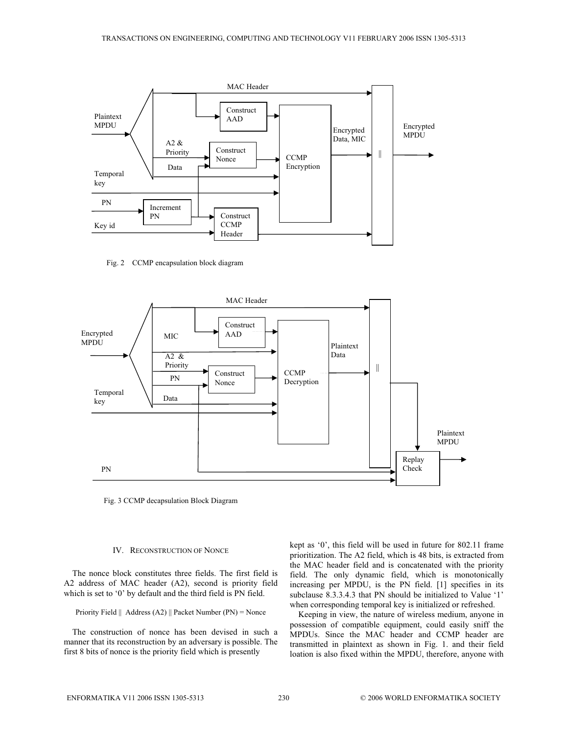

Fig. 2 CCMP encapsulation block diagram



Fig. 3 CCMP decapsulation Block Diagram

## IV. RECONSTRUCTION OF NONCE

The nonce block constitutes three fields. The first field is A2 address of MAC header (A2), second is priority field which is set to '0' by default and the third field is PN field.

Priority Field  $\parallel$  Address (A2)  $\parallel$  Packet Number (PN) = Nonce

The construction of nonce has been devised in such a manner that its reconstruction by an adversary is possible. The first 8 bits of nonce is the priority field which is presently

kept as '0', this field will be used in future for 802.11 frame prioritization. The A2 field, which is 48 bits, is extracted from the MAC header field and is concatenated with the priority field. The only dynamic field, which is monotonically increasing per MPDU, is the PN field. [1] specifies in its subclause 8.3.3.4.3 that PN should be initialized to Value '1' when corresponding temporal key is initialized or refreshed.

Keeping in view, the nature of wireless medium, anyone in possession of compatible equipment, could easily sniff the MPDUs. Since the MAC header and CCMP header are transmitted in plaintext as shown in Fig. 1. and their field loation is also fixed within the MPDU, therefore, anyone with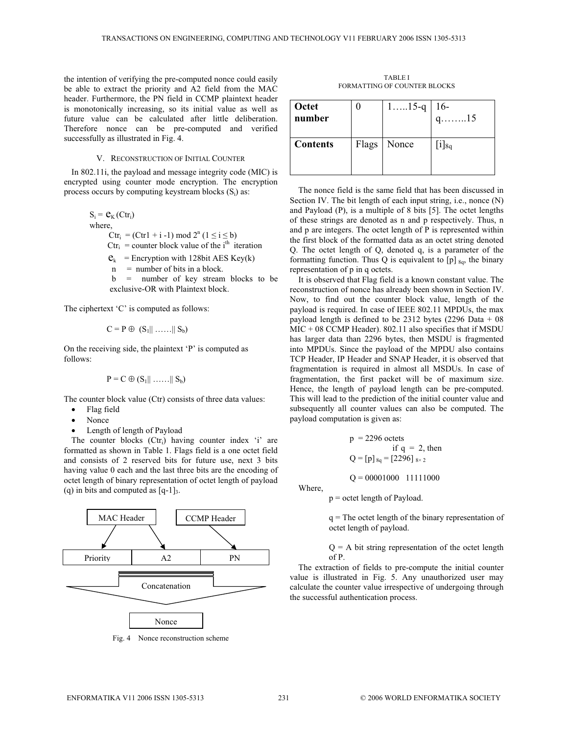the intention of verifying the pre-computed nonce could easily be able to extract the priority and A2 field from the MAC header. Furthermore, the PN field in CCMP plaintext header is monotonically increasing, so its initial value as well as future value can be calculated after little deliberation. Therefore nonce can be pre-computed and verified successfully as illustrated in Fig. 4.

## V. RECONSTRUCTION OF INITIAL COUNTER

In 802.11i, the payload and message integrity code (MIC) is encrypted using counter mode encryption. The encryption process occurs by computing keystream blocks  $(S_i)$  as:

$$
S_i = \mathbf{e}_K (Ctr_i)
$$
  
where,  

$$
Ctr_i = (Ctr1 + i - 1) \mod 2^n (1 \le i \le b)
$$
  

$$
Ctr_i = counter block value of the ith iteration
$$
  

$$
\mathbf{e}_k = Encryption with 128bit AES Key(k)
$$
  

$$
n = number of bits in a block.
$$

 b = number of key stream blocks to be exclusive-OR with Plaintext block.

The ciphertext 'C' is computed as follows:

$$
C = P \oplus (S_1 || \dots || S_b)
$$

On the receiving side, the plaintext 'P' is computed as follows:

$$
P = C \oplus (S_1 || \ldots || S_b)
$$

The counter block value (Ctr) consists of three data values:

- Flag field
- Nonce
- Length of length of Payload

The counter blocks  $(Ctr_i)$  having counter index 'i' are formatted as shown in Table 1. Flags field is a one octet field and consists of 2 reserved bits for future use, next 3 bits having value 0 each and the last three bits are the encoding of octet length of binary representation of octet length of payload (q) in bits and computed as  $[q-1]_3$ .



Fig. 4 Nonce reconstruction scheme

TABLE I FORMATTING OF COUNTER BLOCKS

| Octet<br>number | $115-q$       | $16-$<br>$q$ 15          |
|-----------------|---------------|--------------------------|
| <b>Contents</b> | Flags   Nonce | $\lfloor 1 \rfloor_{8q}$ |

The nonce field is the same field that has been discussed in Section IV. The bit length of each input string, i.e., nonce (N) and Payload (P), is a multiple of 8 bits [5]. The octet lengths of these strings are denoted as n and p respectively. Thus, n and p are integers. The octet length of P is represented within the first block of the formatted data as an octet string denoted Q. The octet length of Q, denoted q, is a parameter of the formatting function. Thus Q is equivalent to  $[p]_{8q}$ , the binary representation of p in q octets.

 It is observed that Flag field is a known constant value. The reconstruction of nonce has already been shown in Section IV. Now, to find out the counter block value, length of the payload is required. In case of IEEE 802.11 MPDUs, the max payload length is defined to be 2312 bytes (2296 Data + 08 MIC + 08 CCMP Header). 802.11 also specifies that if MSDU has larger data than 2296 bytes, then MSDU is fragmented into MPDUs. Since the payload of the MPDU also contains TCP Header, IP Header and SNAP Header, it is observed that fragmentation is required in almost all MSDUs. In case of fragmentation, the first packet will be of maximum size. Hence, the length of payload length can be pre-computed. This will lead to the prediction of the initial counter value and subsequently all counter values can also be computed. The payload computation is given as:

$$
p = 2296 \text{ octets}
$$
  
if  $q = 2$ , then  

$$
Q = [p]_{8q} = [2296]_{8 \times 2}
$$

 $Q = 00001000$  11111000

Where,

p = octet length of Payload.

q = The octet length of the binary representation of octet length of payload.

 $Q = A$  bit string representation of the octet length of P.

The extraction of fields to pre-compute the initial counter value is illustrated in Fig. 5. Any unauthorized user may calculate the counter value irrespective of undergoing through the successful authentication process.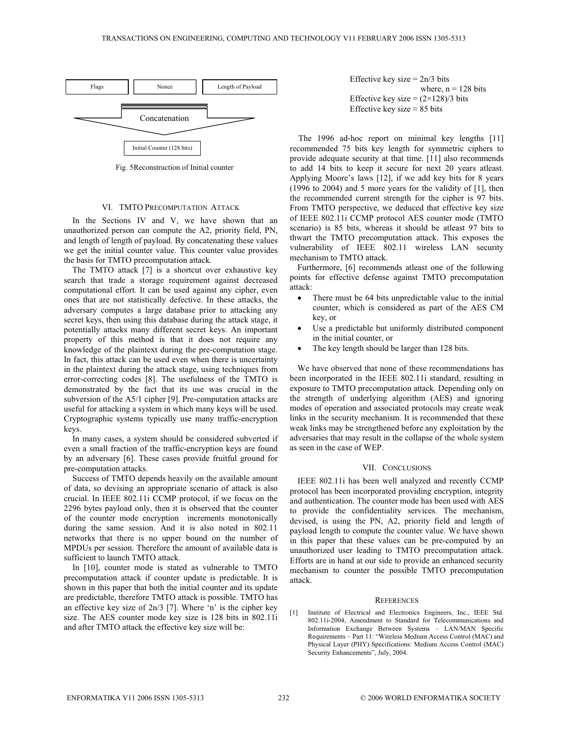

Fig. 5 Reconstruction of Initial counter

## VI. TMTO PRECOMPUTATION ATTACK

In the Sections IV and V, we have shown that an unauthorized person can compute the A2, priority field, PN, and length of length of payload. By concatenating these values we get the initial counter value. This counter value provides the basis for TMTO precomputation attack.

The TMTO attack [7] is a shortcut over exhaustive key search that trade a storage requirement against decreased computational effort. It can be used against any cipher, even ones that are not statistically defective. In these attacks, the adversary computes a large database prior to attacking any secret keys, then using this database during the attack stage, it potentially attacks many different secret keys. An important property of this method is that it does not require any knowledge of the plaintext during the pre-computation stage. In fact, this attack can be used even when there is uncertainty in the plaintext during the attack stage, using techniques from error-correcting codes [8]. The usefulness of the TMTO is demonstrated by the fact that its use was crucial in the subversion of the A5/1 cipher [9]. Pre-computation attacks are useful for attacking a system in which many keys will be used. Cryptographic systems typically use many traffic-encryption keys.

In many cases, a system should be considered subverted if even a small fraction of the traffic-encryption keys are found by an adversary [6]. These cases provide fruitful ground for pre-computation attacks.

Success of TMTO depends heavily on the available amount of data, so devising an appropriate scenario of attack is also crucial. In IEEE 802.11i CCMP protocol, if we focus on the 2296 bytes payload only, then it is observed that the counter of the counter mode encryption increments monotonically during the same session. And it is also noted in 802.11 networks that there is no upper bound on the number of MPDUs per session. Therefore the amount of available data is sufficient to launch TMTO attack.

In [10], counter mode is stated as vulnerable to TMTO precomputation attack if counter update is predictable. It is shown in this paper that both the initial counter and its update are predictable, therefore TMTO attack is possible. TMTO has an effective key size of 2n/3 [7]. Where 'n' is the cipher key size. The AES counter mode key size is 128 bits in 802.11i and after TMTO attack the effective key size will be:



The 1996 ad-hoc report on minimal key lengths [11] recommended 75 bits key length for symmetric ciphers to provide adequate security at that time. [11] also recommends to add 14 bits to keep it secure for next 20 years atleast. Applying Moore's laws [12], if we add key bits for 8 years (1996 to 2004) and 5 more years for the validity of [1], then the recommended current strength for the cipher is 97 bits. From TMTO perspective, we deduced that effective key size of IEEE 802.11i CCMP protocol AES counter mode (TMTO scenario) is 85 bits, whereas it should be atleast 97 bits to thwart the TMTO precomputation attack. This exposes the vulnerability of IEEE 802.11 wireless LAN security mechanism to TMTO attack.

Furthermore, [6] recommends atleast one of the following points for effective defense against TMTO precomputation attack:

- There must be 64 bits unpredictable value to the initial counter, which is considered as part of the AES CM key, or
- Use a predictable but uniformly distributed component in the initial counter, or
- The key length should be larger than 128 bits.

We have observed that none of these recommendations has been incorporated in the IEEE 802.11i standard, resulting in exposure to TMTO precomputation attack. Depending only on the strength of underlying algorithm (AES) and ignoring modes of operation and associated protocols may create weak links in the security mechanism. It is recommended that these weak links may be strengthened before any exploitation by the adversaries that may result in the collapse of the whole system as seen in the case of WEP.

## VII. CONCLUSIONS

 IEEE 802.11i has been well analyzed and recently CCMP protocol has been incorporated providing encryption, integrity and authentication. The counter mode has been used with AES to provide the confidentiality services. The mechanism, devised, is using the PN, A2, priority field and length of payload length to compute the counter value. We have shown in this paper that these values can be pre-computed by an unauthorized user leading to TMTO precomputation attack. Efforts are in hand at our side to provide an enhanced security mechanism to counter the possible TMTO precomputation attack.

#### **REFERENCES**

[1] Institute of Electrical and Electronics Engineers, Inc., IEEE Std. 802.11i-2004, Amendment to Standard for Telecommunications and Information Exchange Between Systems – LAN/MAN Specific Requirements – Part 11: "Wireless Medium Access Control (MAC) and Physical Layer (PHY) Specifications: Medium Access Control (MAC) Security Enhancements", July, 2004.